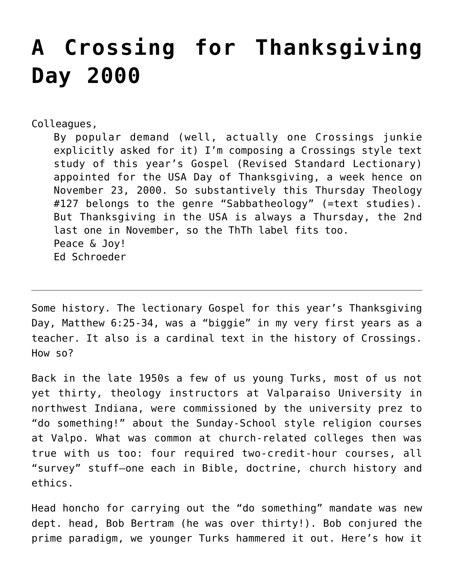# **[A Crossing for Thanksgiving](https://crossings.org/a-crossing-for-thanksgiving-day-2000/) [Day 2000](https://crossings.org/a-crossing-for-thanksgiving-day-2000/)**

Colleagues,

By popular demand (well, actually one Crossings junkie explicitly asked for it) I'm composing a Crossings style text study of this year's Gospel (Revised Standard Lectionary) appointed for the USA Day of Thanksgiving, a week hence on November 23, 2000. So substantively this Thursday Theology #127 belongs to the genre "Sabbatheology" (=text studies). But Thanksgiving in the USA is always a Thursday, the 2nd last one in November, so the ThTh label fits too. Peace & Joy! Ed Schroeder

Some history. The lectionary Gospel for this year's Thanksgiving Day, Matthew 6:25-34, was a "biggie" in my very first years as a teacher. It also is a cardinal text in the history of Crossings. How so?

Back in the late 1950s a few of us young Turks, most of us not yet thirty, theology instructors at Valparaiso University in northwest Indiana, were commissioned by the university prez to "do something!" about the Sunday-School style religion courses at Valpo. What was common at church-related colleges then was true with us too: four required two-credit-hour courses, all "survey" stuff–one each in Bible, doctrine, church history and ethics.

Head honcho for carrying out the "do something" mandate was new dept. head, Bob Bertram (he was over thirty!). Bob conjured the prime paradigm, we younger Turks hammered it out. Here's how it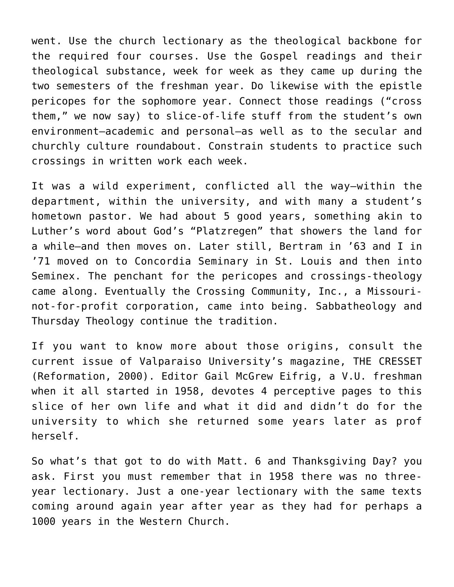went. Use the church lectionary as the theological backbone for the required four courses. Use the Gospel readings and their theological substance, week for week as they came up during the two semesters of the freshman year. Do likewise with the epistle pericopes for the sophomore year. Connect those readings ("cross them," we now say) to slice-of-life stuff from the student's own environment–academic and personal–as well as to the secular and churchly culture roundabout. Constrain students to practice such crossings in written work each week.

It was a wild experiment, conflicted all the way–within the department, within the university, and with many a student's hometown pastor. We had about 5 good years, something akin to Luther's word about God's "Platzregen" that showers the land for a while–and then moves on. Later still, Bertram in '63 and I in '71 moved on to Concordia Seminary in St. Louis and then into Seminex. The penchant for the pericopes and crossings-theology came along. Eventually the Crossing Community, Inc., a Missourinot-for-profit corporation, came into being. Sabbatheology and Thursday Theology continue the tradition.

If you want to know more about those origins, consult the current issue of Valparaiso University's magazine, THE CRESSET (Reformation, 2000). Editor Gail McGrew Eifrig, a V.U. freshman when it all started in 1958, devotes 4 perceptive pages to this slice of her own life and what it did and didn't do for the university to which she returned some years later as prof herself.

So what's that got to do with Matt. 6 and Thanksgiving Day? you ask. First you must remember that in 1958 there was no threeyear lectionary. Just a one-year lectionary with the same texts coming around again year after year as they had for perhaps a 1000 years in the Western Church.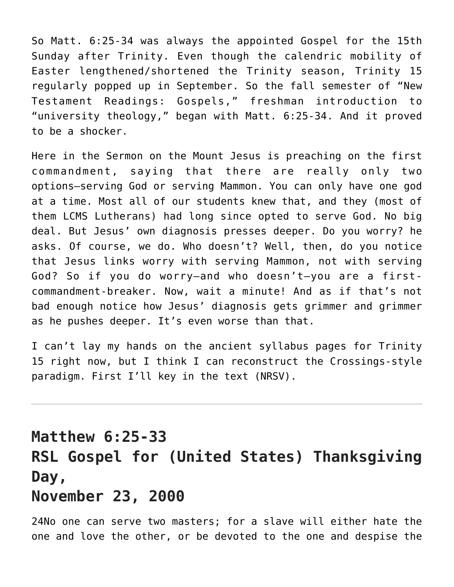So Matt. 6:25-34 was always the appointed Gospel for the 15th Sunday after Trinity. Even though the calendric mobility of Easter lengthened/shortened the Trinity season, Trinity 15 regularly popped up in September. So the fall semester of "New Testament Readings: Gospels," freshman introduction to "university theology," began with Matt. 6:25-34. And it proved to be a shocker.

Here in the Sermon on the Mount Jesus is preaching on the first commandment, saying that there are really only two options–serving God or serving Mammon. You can only have one god at a time. Most all of our students knew that, and they (most of them LCMS Lutherans) had long since opted to serve God. No big deal. But Jesus' own diagnosis presses deeper. Do you worry? he asks. Of course, we do. Who doesn't? Well, then, do you notice that Jesus links worry with serving Mammon, not with serving God? So if you do worry–and who doesn't–you are a firstcommandment-breaker. Now, wait a minute! And as if that's not bad enough notice how Jesus' diagnosis gets grimmer and grimmer as he pushes deeper. It's even worse than that.

I can't lay my hands on the ancient syllabus pages for Trinity 15 right now, but I think I can reconstruct the Crossings-style paradigm. First I'll key in the text (NRSV).

## **Matthew 6:25-33 RSL Gospel for (United States) Thanksgiving Day, November 23, 2000**

24No one can serve two masters; for a slave will either hate the one and love the other, or be devoted to the one and despise the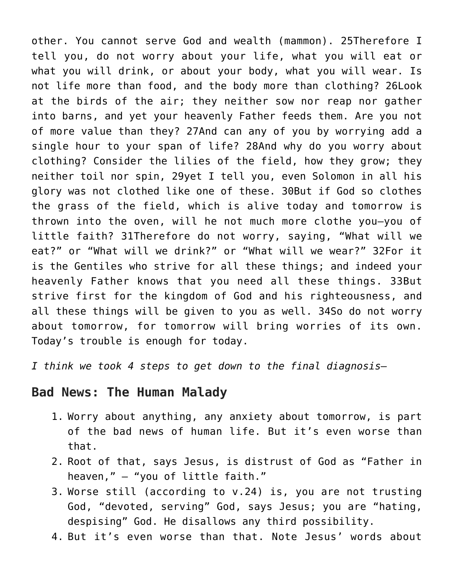other. You cannot serve God and wealth (mammon). 25Therefore I tell you, do not worry about your life, what you will eat or what you will drink, or about your body, what you will wear. Is not life more than food, and the body more than clothing? 26Look at the birds of the air; they neither sow nor reap nor gather into barns, and yet your heavenly Father feeds them. Are you not of more value than they? 27And can any of you by worrying add a single hour to your span of life? 28And why do you worry about clothing? Consider the lilies of the field, how they grow; they neither toil nor spin, 29yet I tell you, even Solomon in all his glory was not clothed like one of these. 30But if God so clothes the grass of the field, which is alive today and tomorrow is thrown into the oven, will he not much more clothe you–you of little faith? 31Therefore do not worry, saying, "What will we eat?" or "What will we drink?" or "What will we wear?" 32For it is the Gentiles who strive for all these things; and indeed your heavenly Father knows that you need all these things. 33But strive first for the kingdom of God and his righteousness, and all these things will be given to you as well. 34So do not worry about tomorrow, for tomorrow will bring worries of its own. Today's trouble is enough for today.

*I think we took 4 steps to get down to the final diagnosis–*

### **Bad News: The Human Malady**

- 1. Worry about anything, any anxiety about tomorrow, is part of the bad news of human life. But it's even worse than that.
- 2. Root of that, says Jesus, is distrust of God as "Father in heaven," — "you of little faith."
- 3. Worse still (according to v.24) is, you are not trusting God, "devoted, serving" God, says Jesus; you are "hating, despising" God. He disallows any third possibility.
- 4. But it's even worse than that. Note Jesus' words about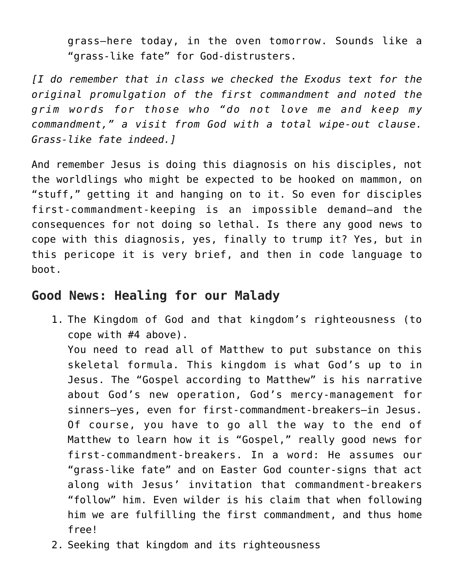grass–here today, in the oven tomorrow. Sounds like a "grass-like fate" for God-distrusters.

*[I do remember that in class we checked the Exodus text for the original promulgation of the first commandment and noted the grim words for those who "do not love me and keep my commandment," a visit from God with a total wipe-out clause. Grass-like fate indeed.]*

And remember Jesus is doing this diagnosis on his disciples, not the worldlings who might be expected to be hooked on mammon, on "stuff," getting it and hanging on to it. So even for disciples first-commandment-keeping is an impossible demand–and the consequences for not doing so lethal. Is there any good news to cope with this diagnosis, yes, finally to trump it? Yes, but in this pericope it is very brief, and then in code language to boot.

### **Good News: Healing for our Malady**

1. The Kingdom of God and that kingdom's righteousness (to cope with #4 above).

You need to read all of Matthew to put substance on this skeletal formula. This kingdom is what God's up to in Jesus. The "Gospel according to Matthew" is his narrative about God's new operation, God's mercy-management for sinners–yes, even for first-commandment-breakers–in Jesus. Of course, you have to go all the way to the end of Matthew to learn how it is "Gospel," really good news for first-commandment-breakers. In a word: He assumes our "grass-like fate" and on Easter God counter-signs that act along with Jesus' invitation that commandment-breakers "follow" him. Even wilder is his claim that when following him we are fulfilling the first commandment, and thus home free!

2. Seeking that kingdom and its righteousness